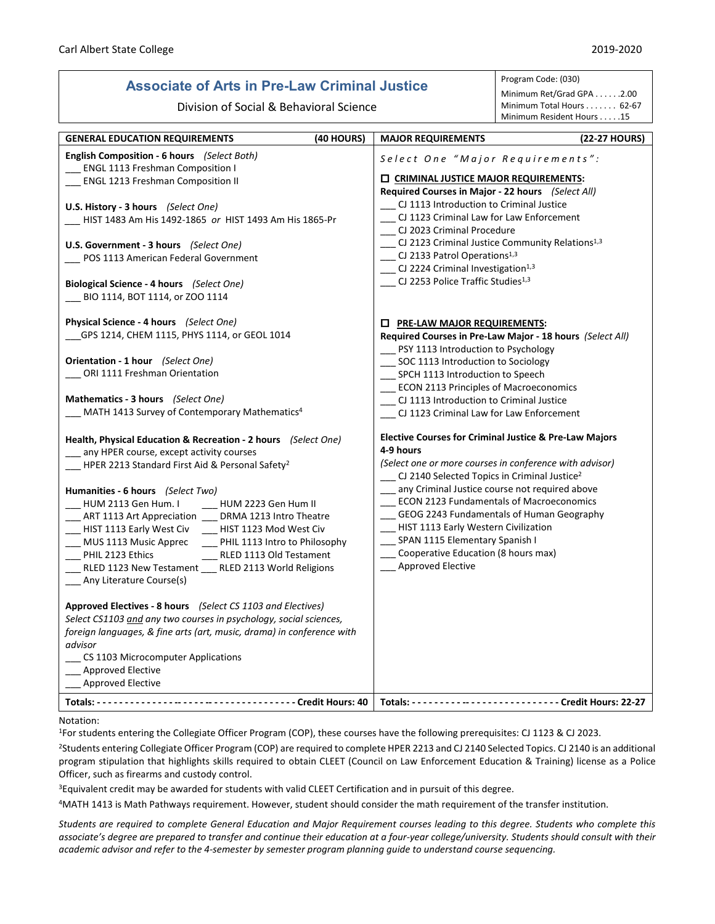# **Associate of Arts in Pre-Law Criminal Justice**

Program Code: (030)

| ASSOCIALE OF AILS III PTE-LAW UTIIIIIIIAI JUSLICE                                                                                                                                                                                                                                                                                                                                                                                                                                                                                                                                                                                                                                                                                                                                                                                                                                                         |                                                                                                                                                                                                                                                                                                                                                                                      | Minimum Ret/Grad GPA 2.00                                                                                                    |
|-----------------------------------------------------------------------------------------------------------------------------------------------------------------------------------------------------------------------------------------------------------------------------------------------------------------------------------------------------------------------------------------------------------------------------------------------------------------------------------------------------------------------------------------------------------------------------------------------------------------------------------------------------------------------------------------------------------------------------------------------------------------------------------------------------------------------------------------------------------------------------------------------------------|--------------------------------------------------------------------------------------------------------------------------------------------------------------------------------------------------------------------------------------------------------------------------------------------------------------------------------------------------------------------------------------|------------------------------------------------------------------------------------------------------------------------------|
| Division of Social & Behavioral Science                                                                                                                                                                                                                                                                                                                                                                                                                                                                                                                                                                                                                                                                                                                                                                                                                                                                   |                                                                                                                                                                                                                                                                                                                                                                                      | Minimum Total Hours 62-67<br>Minimum Resident Hours 15                                                                       |
| (40 HOURS)<br><b>GENERAL EDUCATION REQUIREMENTS</b>                                                                                                                                                                                                                                                                                                                                                                                                                                                                                                                                                                                                                                                                                                                                                                                                                                                       | <b>MAJOR REQUIREMENTS</b>                                                                                                                                                                                                                                                                                                                                                            | (22-27 HOURS)                                                                                                                |
| English Composition - 6 hours (Select Both)<br><b>ENGL 1113 Freshman Composition I</b><br><b>ENGL 1213 Freshman Composition II</b>                                                                                                                                                                                                                                                                                                                                                                                                                                                                                                                                                                                                                                                                                                                                                                        | Select One "Major Requirements":<br><b>LE CRIMINAL JUSTICE MAJOR REQUIREMENTS:</b><br>Required Courses in Major - 22 hours (Select All)<br>CJ 1113 Introduction to Criminal Justice<br>CJ 1123 Criminal Law for Law Enforcement<br>CJ 2023 Criminal Procedure<br>$\Box$ CJ 2123 Criminal Justice Community Relations <sup>1,3</sup><br>__ CJ 2133 Patrol Operations <sup>1,3</sup>   |                                                                                                                              |
| U.S. History - 3 hours (Select One)<br>HIST 1483 Am His 1492-1865 or HIST 1493 Am His 1865-Pr<br>U.S. Government - 3 hours (Select One)<br>POS 1113 American Federal Government                                                                                                                                                                                                                                                                                                                                                                                                                                                                                                                                                                                                                                                                                                                           |                                                                                                                                                                                                                                                                                                                                                                                      |                                                                                                                              |
| Biological Science - 4 hours (Select One)<br>BIO 1114, BOT 1114, or ZOO 1114                                                                                                                                                                                                                                                                                                                                                                                                                                                                                                                                                                                                                                                                                                                                                                                                                              | __ CJ 2224 Criminal Investigation <sup>1,3</sup><br>$\Box$ CJ 2253 Police Traffic Studies <sup>1,3</sup>                                                                                                                                                                                                                                                                             |                                                                                                                              |
| Physical Science - 4 hours (Select One)<br>GPS 1214, CHEM 1115, PHYS 1114, or GEOL 1014                                                                                                                                                                                                                                                                                                                                                                                                                                                                                                                                                                                                                                                                                                                                                                                                                   | <b>D</b> PRE-LAW MAJOR REQUIREMENTS:<br>PSY 1113 Introduction to Psychology                                                                                                                                                                                                                                                                                                          | Required Courses in Pre-Law Major - 18 hours (Select All)                                                                    |
| Orientation - 1 hour (Select One)<br>__ ORI 1111 Freshman Orientation                                                                                                                                                                                                                                                                                                                                                                                                                                                                                                                                                                                                                                                                                                                                                                                                                                     | SOC 1113 Introduction to Sociology<br>__ SPCH 1113 Introduction to Speech<br><b>ECON 2113 Principles of Macroeconomics</b>                                                                                                                                                                                                                                                           |                                                                                                                              |
| Mathematics - 3 hours (Select One)<br>MATH 1413 Survey of Contemporary Mathematics <sup>4</sup>                                                                                                                                                                                                                                                                                                                                                                                                                                                                                                                                                                                                                                                                                                                                                                                                           | CJ 1113 Introduction to Criminal Justice<br>CJ 1123 Criminal Law for Law Enforcement                                                                                                                                                                                                                                                                                                 |                                                                                                                              |
| Health, Physical Education & Recreation - 2 hours (Select One)<br>any HPER course, except activity courses<br>$\mu$ HPER 2213 Standard First Aid & Personal Safety <sup>2</sup><br>Humanities - 6 hours (Select Two)<br>HUM 2113 Gen Hum. I<br>HUM 2223 Gen Hum II<br>__ ART 1113 Art Appreciation __ DRMA 1213 Intro Theatre<br>HIST 1113 Early West Civ<br>__ HIST 1123 Mod West Civ<br>MUS 1113 Music Apprec<br>PHIL 1113 Intro to Philosophy<br>PHIL 2123 Ethics<br>RLED 1113 Old Testament<br>RLED 1123 New Testament __ RLED 2113 World Religions<br>Any Literature Course(s)<br>Approved Electives - 8 hours (Select CS 1103 and Electives)<br>Select CS1103 and any two courses in psychology, social sciences,<br>foreign languages, & fine arts (art, music, drama) in conference with<br>advisor<br>CS 1103 Microcomputer Applications<br><b>Approved Elective</b><br><b>Approved Elective</b> | 4-9 hours<br>$\sim$ CJ 2140 Selected Topics in Criminal Justice <sup>2</sup><br>__ any Criminal Justice course not required above<br><b>ECON 2123 Fundamentals of Macroeconomics</b><br>__ GEOG 2243 Fundamentals of Human Geography<br>__ HIST 1113 Early Western Civilization<br>SPAN 1115 Elementary Spanish I<br>Cooperative Education (8 hours max)<br><b>Approved Elective</b> | <b>Elective Courses for Criminal Justice &amp; Pre-Law Majors</b><br>(Select one or more courses in conference with advisor) |
|                                                                                                                                                                                                                                                                                                                                                                                                                                                                                                                                                                                                                                                                                                                                                                                                                                                                                                           |                                                                                                                                                                                                                                                                                                                                                                                      |                                                                                                                              |

#### Notation:

1For students entering the Collegiate Officer Program (COP), these courses have the following prerequisites: CJ 1123 & CJ 2023.

<sup>2</sup>Students entering Collegiate Officer Program (COP) are required to complete HPER 2213 and CJ 2140 Selected Topics. CJ 2140 is an additional program stipulation that highlights skills required to obtain CLEET (Council on Law Enforcement Education & Training) license as a Police Officer, such as firearms and custody control.

<sup>3</sup>Equivalent credit may be awarded for students with valid CLEET Certification and in pursuit of this degree.

4MATH 1413 is Math Pathways requirement. However, student should consider the math requirement of the transfer institution.

*Students are required to complete General Education and Major Requirement courses leading to this degree. Students who complete this associate's degree are prepared to transfer and continue their education at a four-year college/university. Students should consult with their academic advisor and refer to the 4-semester by semester program planning guide to understand course sequencing.*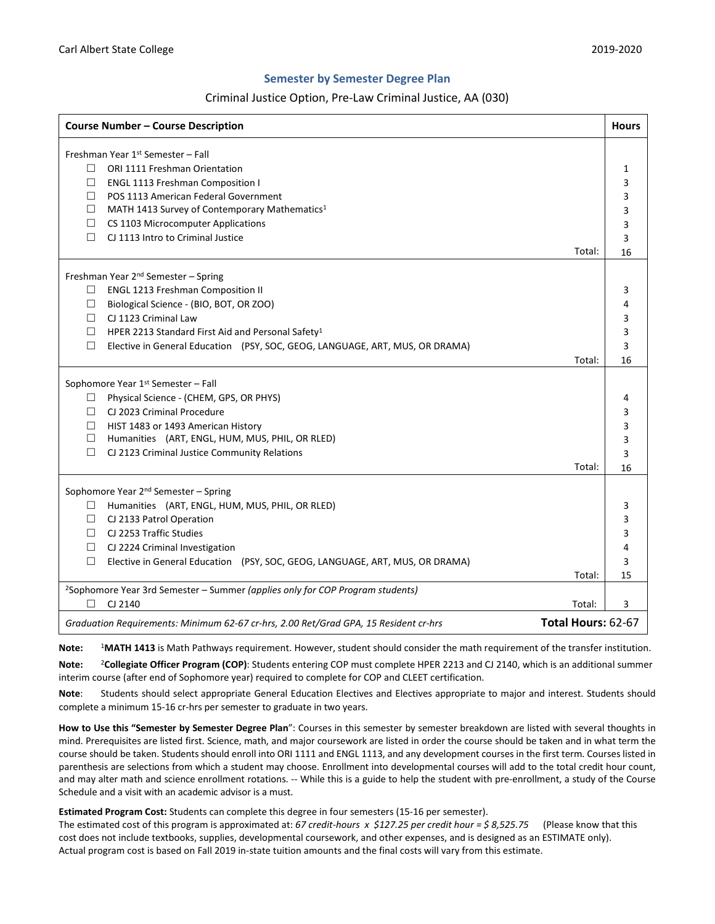## **Semester by Semester Degree Plan**

# Criminal Justice Option, Pre-Law Criminal Justice, AA (030)

| <b>Course Number - Course Description</b>                                                                  | <b>Hours</b> |
|------------------------------------------------------------------------------------------------------------|--------------|
| Freshman Year 1st Semester - Fall                                                                          |              |
| ORI 1111 Freshman Orientation<br>П.                                                                        | 1            |
| П<br><b>ENGL 1113 Freshman Composition I</b>                                                               | 3            |
| POS 1113 American Federal Government<br>П                                                                  | 3            |
| $\Box$<br>MATH 1413 Survey of Contemporary Mathematics <sup>1</sup>                                        | 3            |
| $\Box$<br>CS 1103 Microcomputer Applications                                                               | 3            |
| CJ 1113 Intro to Criminal Justice<br>П.                                                                    | 3            |
| Total:                                                                                                     | 16           |
|                                                                                                            |              |
| Freshman Year 2 <sup>nd</sup> Semester - Spring                                                            |              |
| <b>ENGL 1213 Freshman Composition II</b><br>⊔                                                              | 3            |
| Biological Science - (BIO, BOT, OR ZOO)<br>□                                                               | 4            |
| CJ 1123 Criminal Law<br>П                                                                                  | 3            |
| $\Box$<br>HPER 2213 Standard First Aid and Personal Safety <sup>1</sup>                                    | 3            |
| Elective in General Education (PSY, SOC, GEOG, LANGUAGE, ART, MUS, OR DRAMA)<br>□                          | 3            |
| Total:                                                                                                     | 16           |
| Sophomore Year 1st Semester - Fall                                                                         |              |
| Physical Science - (CHEM, GPS, OR PHYS)<br>⊔                                                               | 4            |
| $\Box$<br>CJ 2023 Criminal Procedure                                                                       | 3            |
| П.<br>HIST 1483 or 1493 American History                                                                   | 3            |
| □<br>Humanities (ART, ENGL, HUM, MUS, PHIL, OR RLED)                                                       | 3            |
| П.<br>CJ 2123 Criminal Justice Community Relations                                                         | 3            |
| Total:                                                                                                     | 16           |
|                                                                                                            |              |
| Sophomore Year 2 <sup>nd</sup> Semester - Spring                                                           |              |
| Humanities (ART, ENGL, HUM, MUS, PHIL, OR RLED)<br>⊔                                                       | 3            |
| $\Box$<br>CJ 2133 Patrol Operation                                                                         | 3            |
| CJ 2253 Traffic Studies<br>□                                                                               | 3            |
| CJ 2224 Criminal Investigation<br>□                                                                        | 4            |
| □<br>Elective in General Education (PSY, SOC, GEOG, LANGUAGE, ART, MUS, OR DRAMA)                          | 3            |
| Total:                                                                                                     | 15           |
| <sup>2</sup> Sophomore Year 3rd Semester - Summer (applies only for COP Program students)                  |              |
| П<br>CJ 2140<br>Total:                                                                                     | 3            |
| Total Hours: 62-67<br>Graduation Requirements: Minimum 62-67 cr-hrs, 2.00 Ret/Grad GPA, 15 Resident cr-hrs |              |

**Note:** <sup>1</sup>**MATH 1413** is Math Pathways requirement. However, student should consider the math requirement of the transfer institution.

**Note:** <sup>2</sup>**Collegiate Officer Program (COP)**: Students entering COP must complete HPER 2213 and CJ 2140, which is an additional summer interim course (after end of Sophomore year) required to complete for COP and CLEET certification.

**Note**: Students should select appropriate General Education Electives and Electives appropriate to major and interest. Students should complete a minimum 15-16 cr-hrs per semester to graduate in two years.

**How to Use this "Semester by Semester Degree Plan**": Courses in this semester by semester breakdown are listed with several thoughts in mind. Prerequisites are listed first. Science, math, and major coursework are listed in order the course should be taken and in what term the course should be taken. Students should enroll into ORI 1111 and ENGL 1113, and any development courses in the first term. Courses listed in parenthesis are selections from which a student may choose. Enrollment into developmental courses will add to the total credit hour count, and may alter math and science enrollment rotations. -- While this is a guide to help the student with pre-enrollment, a study of the Course Schedule and a visit with an academic advisor is a must.

**Estimated Program Cost:** Students can complete this degree in four semesters (15-16 per semester).

The estimated cost of this program is approximated at: *67 credit-hours x \$127.25 per credit hour = \$ 8,525.75* (Please know that this cost does not include textbooks, supplies, developmental coursework, and other expenses, and is designed as an ESTIMATE only). Actual program cost is based on Fall 2019 in-state tuition amounts and the final costs will vary from this estimate.